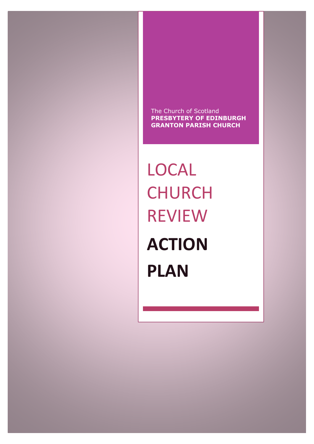The Church of Scotland **PRESBYTERY OF EDINBURGH GRANTON PARISH CHURCH**

LOCAL CHURCH REVIEW **ACTION PLAN**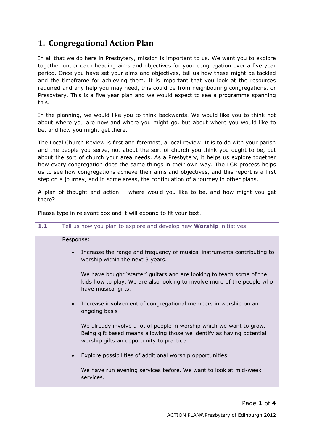# **1. Congregational Action Plan**

In all that we do here in Presbytery, mission is important to us. We want you to explore together under each heading aims and objectives for your congregation over a five year period. Once you have set your aims and objectives, tell us how these might be tackled and the timeframe for achieving them. It is important that you look at the resources required and any help you may need, this could be from neighbouring congregations, or Presbytery. This is a five year plan and we would expect to see a programme spanning this.

In the planning, we would like you to think backwards. We would like you to think not about where you are now and where you might go, but about where you would like to be, and how you might get there.

The Local Church Review is first and foremost, a local review. It is to do with your parish and the people you serve, not about the sort of church you think you ought to be, but about the sort of church your area needs. As a Presbytery, it helps us explore together how every congregation does the same things in their own way. The LCR process helps us to see how congregations achieve their aims and objectives, and this report is a first step on a journey, and in some areas, the continuation of a journey in other plans.

A plan of thought and action – where would you like to be, and how might you get there?

Please type in relevant box and it will expand to fit your text.

| 1.1 | Tell us how you plan to explore and develop new Worship initiatives.                                                                                                                       |
|-----|--------------------------------------------------------------------------------------------------------------------------------------------------------------------------------------------|
|     | Response:                                                                                                                                                                                  |
|     | Increase the range and frequency of musical instruments contributing to<br>$\bullet$<br>worship within the next 3 years.                                                                   |
|     | We have bought 'starter' guitars and are looking to teach some of the<br>kids how to play. We are also looking to involve more of the people who<br>have musical gifts.                    |
|     | Increase involvement of congregational members in worship on an<br>$\bullet$<br>ongoing basis                                                                                              |
|     | We already involve a lot of people in worship which we want to grow.<br>Being gift based means allowing those we identify as having potential<br>worship gifts an opportunity to practice. |
|     | Explore possibilities of additional worship opportunities                                                                                                                                  |
|     | We have run evening services before. We want to look at mid-week<br>services.                                                                                                              |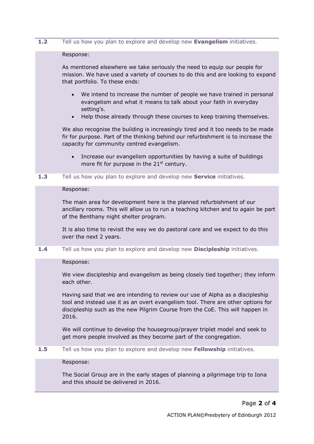#### **1.2** Tell us how you plan to explore and develop new **Evangelism** initiatives.

#### Response:

As mentioned elsewhere we take seriously the need to equip our people for mission. We have used a variety of courses to do this and are looking to expand that portfolio. To these ends:

- We intend to increase the number of people we have trained in personal evangelism and what it means to talk about your faith in everyday setting's.
- Help those already through these courses to keep training themselves.

We also recognise the building is increasingly tired and it too needs to be made fir for purpose. Part of the thinking behind our refurbishment is to increase the capacity for community centred evangelism.

- Increase our evangelism opportunities by having a suite of buildings more fit for purpose in the  $21<sup>st</sup>$  century.
- **1.3** Tell us how you plan to explore and develop new **Service** initiatives.

#### Response:

The main area for development here is the planned refurbishment of our ancillary rooms. This will allow us to run a teaching kitchen and to again be part of the Benthany night shelter program.

It is also time to revisit the way we do pastoral care and we expect to do this over the next 2 years.

**1.4** Tell us how you plan to explore and develop new **Discipleship** initiatives.

# Response:

We view discipleship and evangelism as being closely tied together; they inform each other.

Having said that we are intending to review our use of Alpha as a discipleship tool and instead use it as an overt evangelism tool. There are other options for discipleship such as the new Pilgrim Course from the CoE. This will happen in 2016.

We will continue to develop the housegroup/prayer triplet model and seek to get more people involved as they become part of the congregation.

## **1.5** Tell us how you plan to explore and develop new **Fellowship** initiatives.

#### Response:

The Social Group are in the early stages of planning a pilgrimage trip to Iona and this should be delivered in 2016.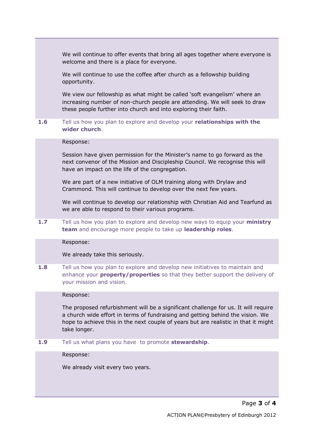We will continue to offer events that bring all ages together where everyone is welcome and there is a place for everyone.

We will continue to use the coffee after church as a fellowship building opportunity.

We view our fellowship as what might be called 'soft evangelism' where an increasing number of non-church people are attending. We will seek to draw these people further into church and into exploring their faith.

# **1.6** Tell us how you plan to explore and develop your **relationships with the wider church**.

#### Response:

Session have given permission for the Minister's name to go forward as the next convenor of the Mission and Discipleship Council. We recognise this will have an impact on the life of the congregation.

We are part of a new initiative of OLM training along with Drylaw and Crammond. This will continue to develop over the next few years.

We will continue to develop our relationship with Christian Aid and Tearfund as we are able to respond to their various programs.

**1.7** Tell us how you plan to explore and develop new ways to equip your **ministry team** and encourage more people to take up **leadership roles**.

# Response:

#### We already take this seriously.

**1.8** Tell us how you plan to explore and develop new initiatives to maintain and enhance your **property/properties** so that they better support the delivery of your mission and vision.

#### Response:

The proposed refurbishment will be a significant challenge for us. It will require a church wide effort in terms of fundraising and getting behind the vision. We hope to achieve this in the next couple of years but are realistic in that it might take longer.

**1.9** Tell us what plans you have to promote **stewardship**.

Response:

We already visit every two years.